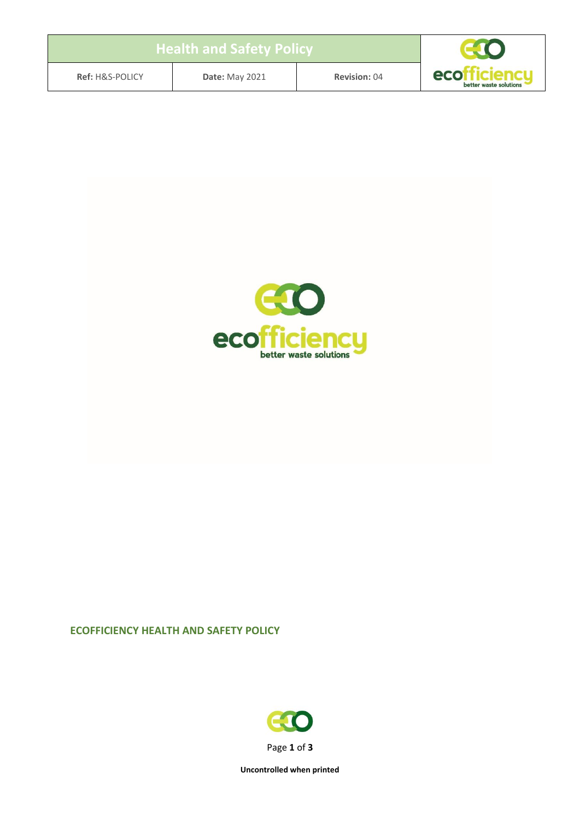| $\,$ Health and Safety Policy $^{\,\prime}$ |                       |                     |                                        |
|---------------------------------------------|-----------------------|---------------------|----------------------------------------|
| <b>Ref: H&amp;S-POLICY</b>                  | <b>Date: May 2021</b> | <b>Revision: 04</b> | ecofficiencu<br>better waste solutions |



## **ECOFFICIENCY HEALTH AND SAFETY POLICY**



**Uncontrolled when printed**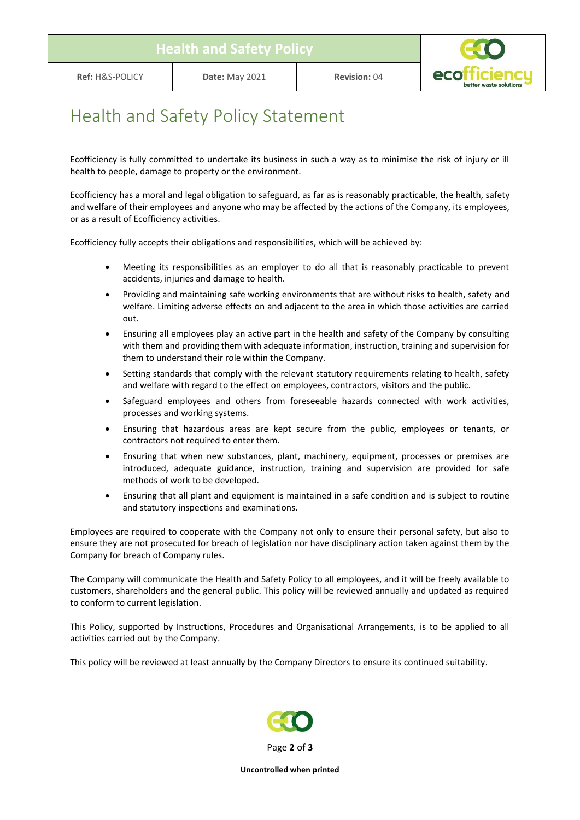

## Health and Safety Policy Statement

Ecofficiency is fully committed to undertake its business in such a way as to minimise the risk of injury or ill health to people, damage to property or the environment.

Ecofficiency has a moral and legal obligation to safeguard, as far as is reasonably practicable, the health, safety and welfare of their employees and anyone who may be affected by the actions of the Company, its employees, or as a result of Ecofficiency activities.

Ecofficiency fully accepts their obligations and responsibilities, which will be achieved by:

- Meeting its responsibilities as an employer to do all that is reasonably practicable to prevent accidents, injuries and damage to health.
- Providing and maintaining safe working environments that are without risks to health, safety and welfare. Limiting adverse effects on and adjacent to the area in which those activities are carried out.
- Ensuring all employees play an active part in the health and safety of the Company by consulting with them and providing them with adequate information, instruction, training and supervision for them to understand their role within the Company.
- Setting standards that comply with the relevant statutory requirements relating to health, safety and welfare with regard to the effect on employees, contractors, visitors and the public.
- Safeguard employees and others from foreseeable hazards connected with work activities, processes and working systems.
- Ensuring that hazardous areas are kept secure from the public, employees or tenants, or contractors not required to enter them.
- Ensuring that when new substances, plant, machinery, equipment, processes or premises are introduced, adequate guidance, instruction, training and supervision are provided for safe methods of work to be developed.
- Ensuring that all plant and equipment is maintained in a safe condition and is subject to routine and statutory inspections and examinations.

Employees are required to cooperate with the Company not only to ensure their personal safety, but also to ensure they are not prosecuted for breach of legislation nor have disciplinary action taken against them by the Company for breach of Company rules.

The Company will communicate the Health and Safety Policy to all employees, and it will be freely available to customers, shareholders and the general public. This policy will be reviewed annually and updated as required to conform to current legislation.

This Policy, supported by Instructions, Procedures and Organisational Arrangements, is to be applied to all activities carried out by the Company.

This policy will be reviewed at least annually by the Company Directors to ensure its continued suitability.



**Uncontrolled when printed**